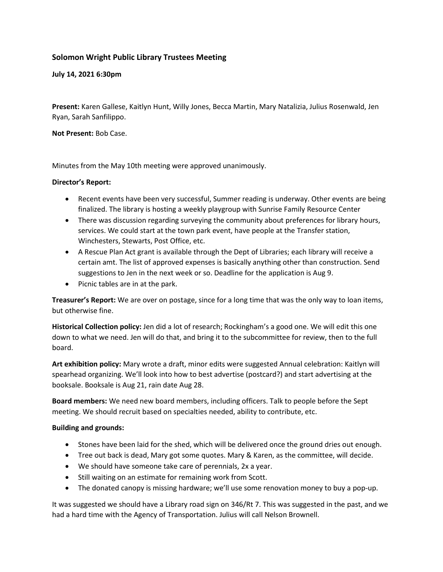## **Solomon Wright Public Library Trustees Meeting**

**July 14, 2021 6:30pm**

**Present:** Karen Gallese, Kaitlyn Hunt, Willy Jones, Becca Martin, Mary Natalizia, Julius Rosenwald, Jen Ryan, Sarah Sanfilippo.

**Not Present:** Bob Case.

Minutes from the May 10th meeting were approved unanimously.

## **Director's Report:**

- Recent events have been very successful, Summer reading is underway. Other events are being finalized. The library is hosting a weekly playgroup with Sunrise Family Resource Center
- There was discussion regarding surveying the community about preferences for library hours, services. We could start at the town park event, have people at the Transfer station, Winchesters, Stewarts, Post Office, etc.
- A Rescue Plan Act grant is available through the Dept of Libraries; each library will receive a certain amt. The list of approved expenses is basically anything other than construction. Send suggestions to Jen in the next week or so. Deadline for the application is Aug 9.
- Picnic tables are in at the park.

**Treasurer's Report:** We are over on postage, since for a long time that was the only way to loan items, but otherwise fine.

**Historical Collection policy:** Jen did a lot of research; Rockingham's a good one. We will edit this one down to what we need. Jen will do that, and bring it to the subcommittee for review, then to the full board.

**Art exhibition policy:** Mary wrote a draft, minor edits were suggested Annual celebration: Kaitlyn will spearhead organizing. We'll look into how to best advertise (postcard?) and start advertising at the booksale. Booksale is Aug 21, rain date Aug 28.

**Board members:** We need new board members, including officers. Talk to people before the Sept meeting. We should recruit based on specialties needed, ability to contribute, etc.

## **Building and grounds:**

- Stones have been laid for the shed, which will be delivered once the ground dries out enough.
- Tree out back is dead, Mary got some quotes. Mary & Karen, as the committee, will decide.
- We should have someone take care of perennials, 2x a year.
- Still waiting on an estimate for remaining work from Scott.
- The donated canopy is missing hardware; we'll use some renovation money to buy a pop-up.

It was suggested we should have a Library road sign on 346/Rt 7. This was suggested in the past, and we had a hard time with the Agency of Transportation. Julius will call Nelson Brownell.